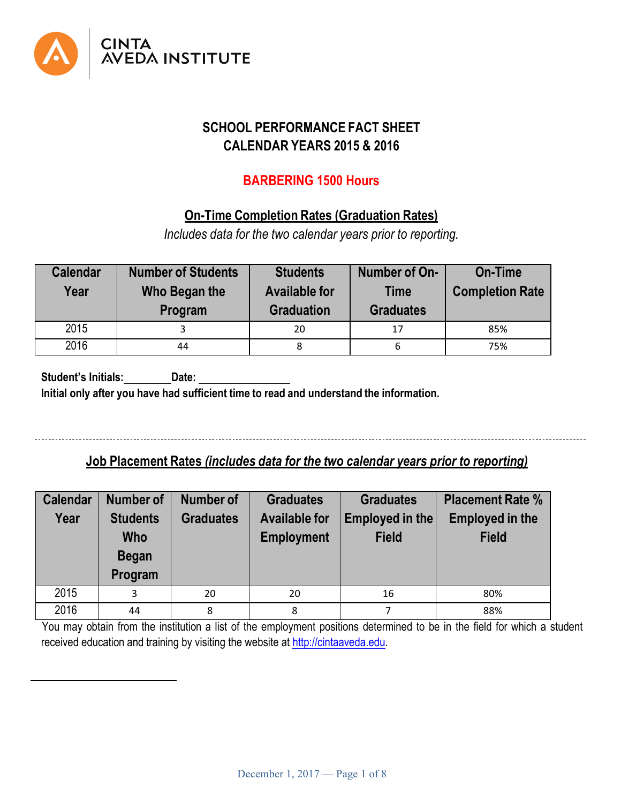

# **SCHOOL PERFORMANCE FACT SHEET CALENDAR YEARS 2015 & 2016**

## **BARBERING 1500 Hours**

## **On-Time Completion Rates (Graduation Rates)**

*Includes data for the two calendar years prior to reporting.*

| <b>Calendar</b><br>Year | <b>Number of Students</b><br>Who Began the<br><b>Program</b> | <b>Students</b><br><b>Available for</b><br><b>Graduation</b> | Number of On-<br><b>Time</b><br><b>Graduates</b> | <b>On-Time</b><br><b>Completion Rate</b> |
|-------------------------|--------------------------------------------------------------|--------------------------------------------------------------|--------------------------------------------------|------------------------------------------|
| 2015                    |                                                              | 20                                                           | 17                                               | 85%                                      |
| 2016                    | 44                                                           | 8                                                            | 6                                                | 75%                                      |

**Student's Initials: Date: Initial only after you have had sufficient time to read and understand the information.**

## **Job Placement Rates** *(includes data for the two calendar years prior to reporting)*

| <b>Calendar</b><br>Year | <b>Number of</b><br><b>Students</b><br><b>Who</b><br><b>Began</b><br>Program | <b>Number of</b><br><b>Graduates</b> | <b>Graduates</b><br><b>Available for</b><br><b>Employment</b> | <b>Graduates</b><br>Employed in the<br><b>Field</b> | <b>Placement Rate %</b><br><b>Employed in the</b><br><b>Field</b> |
|-------------------------|------------------------------------------------------------------------------|--------------------------------------|---------------------------------------------------------------|-----------------------------------------------------|-------------------------------------------------------------------|
| 2015                    | 3                                                                            | 20                                   | 20                                                            | 16                                                  | 80%                                                               |
| 2016                    | 44                                                                           | 8                                    | 8                                                             |                                                     | 88%                                                               |

You may obtain from the institution a list of the employment positions determined to be in the field for which a student received education and training by visiting the website at http://cintaaveda.edu.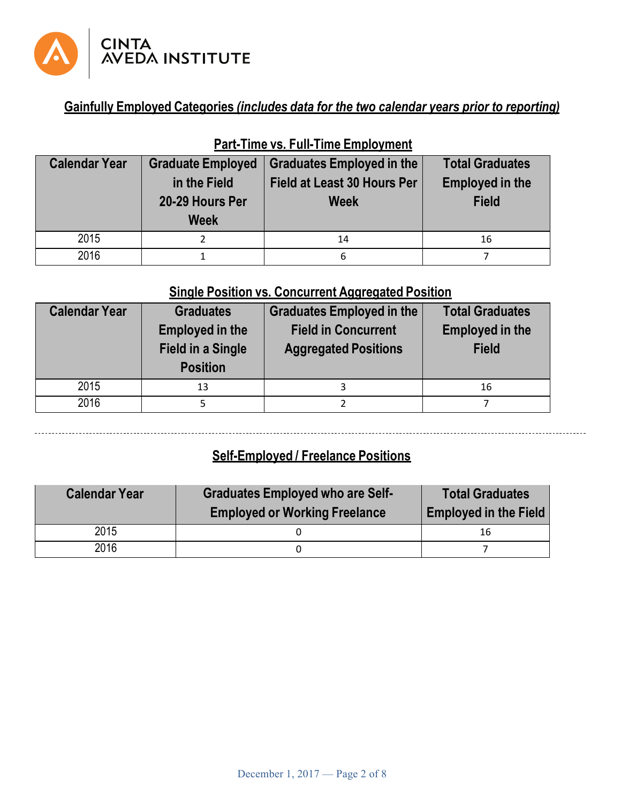

# **Gainfully Employed Categories** *(includes data for the two calendar years prior to reporting)*

| <b>Calendar Year</b> | <b>Graduate Employed</b> | <b>Graduates Employed in the</b>   | <b>Total Graduates</b> |
|----------------------|--------------------------|------------------------------------|------------------------|
|                      | in the Field             | <b>Field at Least 30 Hours Per</b> | <b>Employed in the</b> |
|                      | 20-29 Hours Per          | <b>Week</b>                        | <b>Field</b>           |
|                      | <b>Week</b>              |                                    |                        |
| 2015                 |                          | 14                                 | 16                     |
| 2016                 |                          | 6                                  |                        |

# **Part-Time vs. Full-Time Employment**

# **Single Position vs. Concurrent Aggregated Position**

| <b>Calendar Year</b> | <b>Graduates</b><br><b>Employed in the</b><br><b>Field in a Single</b><br><b>Position</b> | <b>Graduates Employed in the</b><br><b>Field in Concurrent</b><br><b>Aggregated Positions</b> | <b>Total Graduates</b><br><b>Employed in the</b><br><b>Field</b> |
|----------------------|-------------------------------------------------------------------------------------------|-----------------------------------------------------------------------------------------------|------------------------------------------------------------------|
|                      |                                                                                           |                                                                                               |                                                                  |
| 2015                 | 13                                                                                        | 3                                                                                             | 16                                                               |
| 2016                 |                                                                                           |                                                                                               |                                                                  |

# **Self-Employed / Freelance Positions**

| <b>Calendar Year</b> | <b>Graduates Employed who are Self-</b><br><b>Employed or Working Freelance</b> | <b>Total Graduates</b><br><b>Employed in the Field</b> |
|----------------------|---------------------------------------------------------------------------------|--------------------------------------------------------|
| 2015                 |                                                                                 | 16                                                     |
| 2016                 |                                                                                 |                                                        |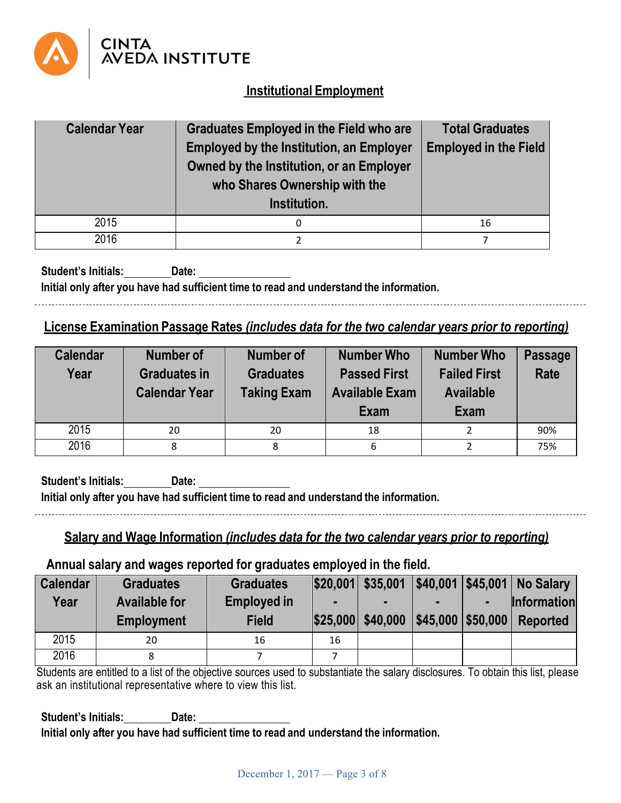

## **Institutional Employment**

| <b>Calendar Year</b> | <b>Graduates Employed in the Field who are</b><br><b>Employed by the Institution, an Employer</b><br>Owned by the Institution, or an Employer<br>who Shares Ownership with the<br>Institution. | <b>Total Graduates</b><br><b>Employed in the Field</b> |
|----------------------|------------------------------------------------------------------------------------------------------------------------------------------------------------------------------------------------|--------------------------------------------------------|
| 2015                 | 0                                                                                                                                                                                              | 16                                                     |
| 2016                 |                                                                                                                                                                                                |                                                        |

**Student's Initials: Date: Initial only after you have had sufficient time to read and understand the information.**

### **License Examination Passage Rates** *(includes data for the two calendar years prior to reporting)*

| <b>Calendar</b><br>Year | <b>Number of</b><br><b>Graduates in</b><br><b>Calendar Year</b> | <b>Number of</b><br><b>Graduates</b><br><b>Taking Exam</b> | <b>Number Who</b><br><b>Passed First</b><br><b>Available Exam</b><br>Exam | <b>Number Who</b><br><b>Failed First</b><br><b>Available</b><br>Exam | <b>Passage</b><br>Rate |
|-------------------------|-----------------------------------------------------------------|------------------------------------------------------------|---------------------------------------------------------------------------|----------------------------------------------------------------------|------------------------|
| 2015                    | 20                                                              | 20                                                         | 18                                                                        |                                                                      | 90%                    |
| 2016                    | 8                                                               |                                                            | 6                                                                         |                                                                      | 75%                    |

**Student's Initials: Date: Initial only after you have had sufficient time to read and understand the information.** 

# **Salary and Wage Information** *(includes data for the two calendar years prior to reporting)*

### **Annual salary and wages reported for graduates employed in the field.**

| <b>Calendar</b><br>Year | <b>Graduates</b><br><b>Available for</b> | <b>Graduates</b><br><b>Employed in</b> | $\blacksquare$ | $ $20,001 $ \$35,001 |  | \$40,001 \$45,001 No Salary<br>Information |
|-------------------------|------------------------------------------|----------------------------------------|----------------|----------------------|--|--------------------------------------------|
|                         | <b>Employment</b>                        | <b>Field</b>                           |                | \$25,000 \$40,000    |  | \$45,000   \$50,000   Reported             |
| 2015                    | 20                                       | 16                                     | 16             |                      |  |                                            |
| 2016                    |                                          |                                        |                |                      |  |                                            |

Students are entitled to a list of the objective sources used to substantiate the salary disclosures. To obtain this list, please ask an institutional representative where to view this list.

**Student's Initials: Date: Initial only after you have had sufficient time to read and understand the information.**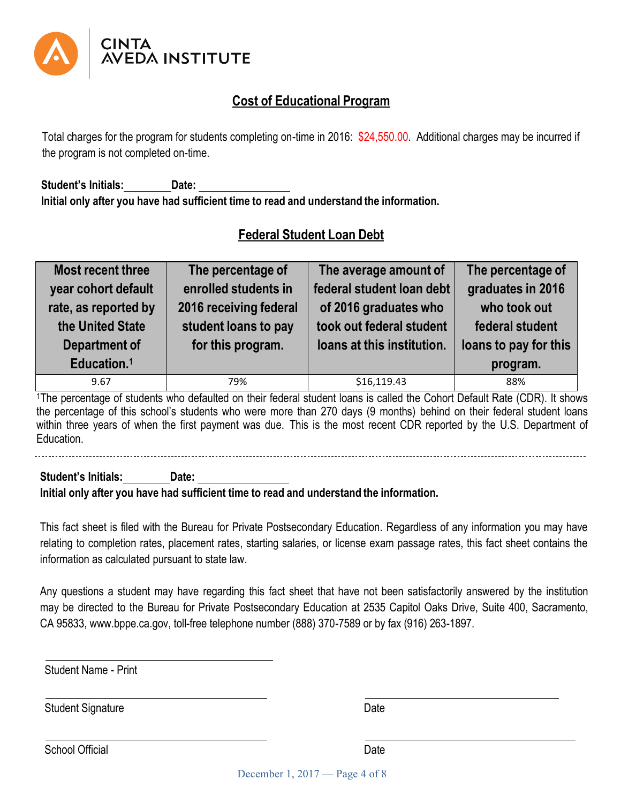

## **Cost of Educational Program**

Total charges for the program for students completing on-time in 2016: \$24,550.00. Additional charges may be incurred if the program is not completed on-time.

**Student's Initials: Date: Initial only after you have had sufficient time to read and understand the information.**

# **Federal Student Loan Debt**

| Most recent three                        | The percentage of                              | The average amount of                             | The percentage of               |
|------------------------------------------|------------------------------------------------|---------------------------------------------------|---------------------------------|
| year cohort default                      | enrolled students in                           | federal student loan debt                         | graduates in 2016               |
| rate, as reported by<br>the United State | 2016 receiving federal<br>student loans to pay | of 2016 graduates who<br>took out federal student | who took out<br>federal student |
| <b>Department of</b>                     | for this program.                              | loans at this institution.                        | loans to pay for this           |
| Education. <sup>1</sup>                  |                                                |                                                   | program.                        |
| 9.67                                     | 79%                                            | \$16,119.43                                       | 88%                             |

1The percentage of students who defaulted on their federal student loans is called the Cohort Default Rate (CDR). It shows the percentage of this school's students who were more than 270 days (9 months) behind on their federal student loans within three years of when the first payment was due. This is the most recent CDR reported by the U.S. Department of Education.

**Student's Initials: Date: Initial only after you have had sufficient time to read and understand the information.**

This fact sheet is filed with the Bureau for Private Postsecondary Education. Regardless of any information you may have relating to completion rates, placement rates, starting salaries, or license exam passage rates, this fact sheet contains the information as calculated pursuant to state law.

Any questions a student may have regarding this fact sheet that have not been satisfactorily answered by the institution may be directed to the Bureau for Private Postsecondary Education at 2535 Capitol Oaks Drive, Suite 400, Sacramento, CA 95833, www.bppe.ca.gov, toll-free telephone number (888) 370-7589 or by fax (916) 263-1897.

Student Name - Print

Student Signature Date Date

School Official Date **Date of the Contract of the Contract Official** Date Date Date

December 1, 2017 — Page 4 of 8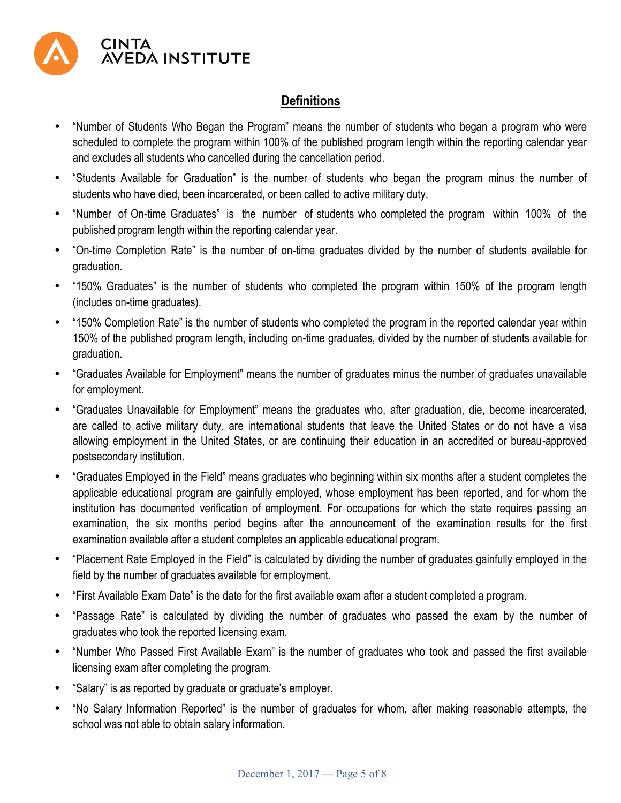

## **Definitions**

- "Number of Students Who Began the Program" means the number of students who began a program who were scheduled to complete the program within 100% of the published program length within the reporting calendar year and excludes all students who cancelled during the cancellation period.
- "Students Available for Graduation" is the number of students who began the program minus the number of students who have died, been incarcerated, or been called to active military duty.
- "Number of On-time Graduates" is the number of students who completed the program within 100% of the published program length within the reporting calendar year.
- "On-time Completion Rate" is the number of on-time graduates divided by the number of students available for graduation.
- "150% Graduates" is the number of students who completed the program within 150% of the program length (includes on-time graduates).
- "150% Completion Rate" is the number of students who completed the program in the reported calendar year within 150% of the published program length, including on-time graduates, divided by the number of students available for graduation.
- "Graduates Available for Employment" means the number of graduates minus the number of graduates unavailable for employment.
- "Graduates Unavailable for Employment" means the graduates who, after graduation, die, become incarcerated, are called to active military duty, are international students that leave the United States or do not have a visa allowing employment in the United States, or are continuing their education in an accredited or bureau-approved postsecondary institution.
- "Graduates Employed in the Field" means graduates who beginning within six months after a student completes the applicable educational program are gainfully employed, whose employment has been reported, and for whom the institution has documented verification of employment. For occupations for which the state requires passing an examination, the six months period begins after the announcement of the examination results for the first examination available after a student completes an applicable educational program.
- "Placement Rate Employed in the Field" is calculated by dividing the number of graduates gainfully employed in the field by the number of graduates available for employment.
- "First Available Exam Date" is the date for the first available exam after a student completed a program.
- "Passage Rate" is calculated by dividing the number of graduates who passed the exam by the number of graduates who took the reported licensing exam.
- "Number Who Passed First Available Exam" is the number of graduates who took and passed the first available licensing exam after completing the program.
- "Salary" is as reported by graduate or graduate's employer.
- "No Salary Information Reported" is the number of graduates for whom, after making reasonable attempts, the school was not able to obtain salary information.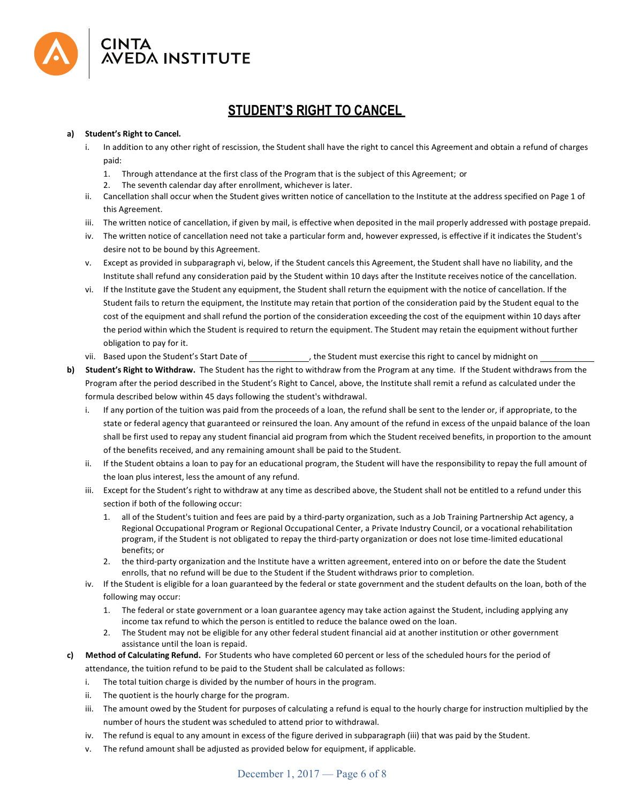

# **STUDENT'S RIGHT TO CANCEL**

### **a)#### Student's Right to Cancel.**

- i. In addition to any other right of rescission, the Student shall have the right to cancel this Agreement and obtain a refund of charges paid:
	- 1. Through attendance at the first class of the Program that is the subject of this Agreement; or
	- 2. The seventh calendar day after enrollment, whichever is later.
- ii. Cancellation shall occur when the Student gives written notice of cancellation to the Institute at the address specified on Page 1 of this Agreement.
- iii. The written notice of cancellation, if given by mail, is effective when deposited in the mail properly addressed with postage prepaid.
- iv. The written notice of cancellation need not take a particular form and, however expressed, is effective if it indicates the Student's desire not to be bound by this Agreement.
- v. Except as provided in subparagraph vi, below, if the Student cancels this Agreement, the Student shall have no liability, and the Institute shall refund any consideration paid by the Student within 10 days after the Institute receives notice of the cancellation.
- vi. If the Institute gave the Student any equipment, the Student shall return the equipment with the notice of cancellation. If the Student fails to return the equipment, the Institute may retain that portion of the consideration paid by the Student equal to the cost of the equipment and shall refund the portion of the consideration exceeding the cost of the equipment within 10 days after the period within which the Student is required to return the equipment. The Student may retain the equipment without further obligation to pay for it.
- vii. Based upon the Student's Start Date of  $\qquad \qquad$ , the Student must exercise this right to cancel by midnight on
- **b)** Student's Right to Withdraw. The Student has the right to withdraw from the Program at any time. If the Student withdraws from the Program after the period described in the Student's Right to Cancel, above, the Institute shall remit a refund as calculated under the formula described below within 45 days following the student's withdrawal.
	- i. If any portion of the tuition was paid from the proceeds of a loan, the refund shall be sent to the lender or, if appropriate, to the state or federal agency that guaranteed or reinsured the loan. Any amount of the refund in excess of the unpaid balance of the loan shall be first used to repay any student financial aid program from which the Student received benefits, in proportion to the amount of the benefits received, and any remaining amount shall be paid to the Student.
	- ii. If the Student obtains a loan to pay for an educational program, the Student will have the responsibility to repay the full amount of the loan plus interest, less the amount of any refund.
	- iii. Except for the Student's right to withdraw at any time as described above, the Student shall not be entitled to a refund under this section if both of the following occur:
		- 1. all of the Student's tuition and fees are paid by a third-party organization, such as a Job Training Partnership Act agency, a Regional Occupational Program or Regional Occupational Center, a Private Industry Council, or a vocational rehabilitation program, if the Student is not obligated to repay the third-party organization or does not lose time-limited educational benefits; or
		- 2. the third-party organization and the Institute have a written agreement, entered into on or before the date the Student enrolls, that no refund will be due to the Student if the Student withdraws prior to completion.
	- iv. If the Student is eligible for a loan guaranteed by the federal or state government and the student defaults on the loan, both of the following may occur:
		- 1. The federal or state government or a loan guarantee agency may take action against the Student, including applying any income tax refund to which the person is entitled to reduce the balance owed on the loan.
		- 2. The Student may not be eligible for any other federal student financial aid at another institution or other government assistance until the loan is repaid.
- **c) Method of Calculating Refund.** For Students who have completed 60 percent or less of the scheduled hours for the period of attendance, the tuition refund to be paid to the Student shall be calculated as follows:
	- i. The total tuition charge is divided by the number of hours in the program.
	- ii. The quotient is the hourly charge for the program.
	- iii. The amount owed by the Student for purposes of calculating a refund is equal to the hourly charge for instruction multiplied by the number of hours the student was scheduled to attend prior to withdrawal.
	- iv. The refund is equal to any amount in excess of the figure derived in subparagraph (iii) that was paid by the Student.
	- v. The refund amount shall be adjusted as provided below for equipment, if applicable.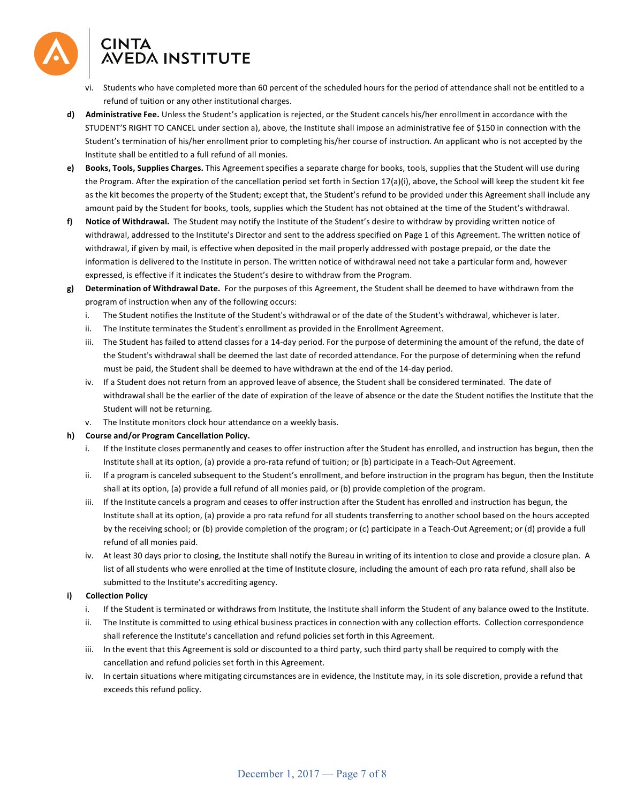

- vi. Students who have completed more than 60 percent of the scheduled hours for the period of attendance shall not be entitled to a refund of tuition or any other institutional charges.
- **d)** Administrative Fee. Unless the Student's application is rejected, or the Student cancels his/her enrollment in accordance with the STUDENT'S RIGHT TO CANCEL under section a), above, the Institute shall impose an administrative fee of \$150 in connection with the Student's termination of his/her enrollment prior to completing his/her course of instruction. An applicant who is not accepted by the Institute shall be entitled to a full refund of all monies.
- **e)** Books, Tools, Supplies Charges. This Agreement specifies a separate charge for books, tools, supplies that the Student will use during the Program. After the expiration of the cancellation period set forth in Section  $17(a)(i)$ , above, the School will keep the student kit fee as the kit becomes the property of the Student; except that, the Student's refund to be provided under this Agreement shall include any amount paid by the Student for books, tools, supplies which the Student has not obtained at the time of the Student's withdrawal.
- f) Notice of Withdrawal. The Student may notify the Institute of the Student's desire to withdraw by providing written notice of withdrawal, addressed to the Institute's Director and sent to the address specified on Page 1 of this Agreement. The written notice of withdrawal, if given by mail, is effective when deposited in the mail properly addressed with postage prepaid, or the date the information is delivered to the Institute in person. The written notice of withdrawal need not take a particular form and, however expressed, is effective if it indicates the Student's desire to withdraw from the Program.
- **g)** Determination of Withdrawal Date. For the purposes of this Agreement, the Student shall be deemed to have withdrawn from the program of instruction when any of the following occurs:
	- i. The Student notifies the Institute of the Student's withdrawal or of the date of the Student's withdrawal, whichever is later.
	- ii. The Institute terminates the Student's enrollment as provided in the Enrollment Agreement.
	- iii. The Student has failed to attend classes for a 14-day period. For the purpose of determining the amount of the refund, the date of the Student's withdrawal shall be deemed the last date of recorded attendance. For the purpose of determining when the refund must be paid, the Student shall be deemed to have withdrawn at the end of the 14-day period.
	- iv. If a Student does not return from an approved leave of absence, the Student shall be considered terminated. The date of withdrawal shall be the earlier of the date of expiration of the leave of absence or the date the Student notifies the Institute that the Student will not be returning.
	- v. The Institute monitors clock hour attendance on a weekly basis.

#### **h)#### Course and/or Program Cancellation Policy.**

- If the Institute closes permanently and ceases to offer instruction after the Student has enrolled, and instruction has begun, then the Institute shall at its option, (a) provide a pro-rata refund of tuition; or (b) participate in a Teach-Out Agreement.
- ii. If a program is canceled subsequent to the Student's enrollment, and before instruction in the program has begun, then the Institute shall at its option, (a) provide a full refund of all monies paid, or (b) provide completion of the program.
- iii. If the Institute cancels a program and ceases to offer instruction after the Student has enrolled and instruction has begun, the Institute shall at its option, (a) provide a pro rata refund for all students transferring to another school based on the hours accepted by the receiving school; or (b) provide completion of the program; or (c) participate in a Teach-Out Agreement; or (d) provide a full refund of all monies paid.
- iv. At least 30 days prior to closing, the Institute shall notify the Bureau in writing of its intention to close and provide a closure plan. A list of all students who were enrolled at the time of Institute closure, including the amount of each pro rata refund, shall also be submitted to the Institute's accrediting agency.

### **i)##### Collection Policy**

- i. If the Student is terminated or withdraws from Institute, the Institute shall inform the Student of any balance owed to the Institute.
- ii. The Institute is committed to using ethical business practices in connection with any collection efforts. Collection correspondence shall reference the Institute's cancellation and refund policies set forth in this Agreement.
- iii. In the event that this Agreement is sold or discounted to a third party, such third party shall be required to comply with the cancellation and refund policies set forth in this Agreement.
- iv. In certain situations where mitigating circumstances are in evidence, the Institute may, in its sole discretion, provide a refund that exceeds this refund policy.